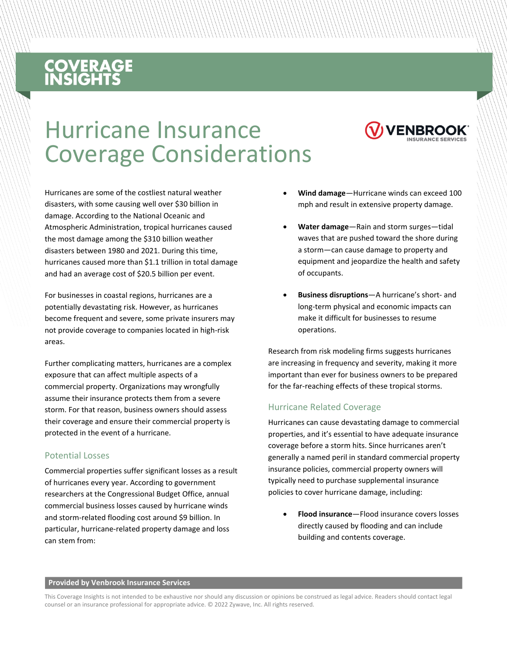# **COVERAGE**<br>INSIGHTS

## Hurricane Insurance Coverage Considerations



For businesses in coastal regions, hurricanes are a potentially devastating risk. However, as hurricanes become frequent and severe, some private insurers may not provide coverage to companies located in high-risk areas.

Further complicating matters, hurricanes are a complex exposure that can affect multiple aspects of a commercial property. Organizations may wrongfully assume their insurance protects them from a severe storm. For that reason, business owners should assess their coverage and ensure their commercial property is protected in the event of a hurricane.

#### Potential Losses

Commercial properties suffer significant losses as a result of hurricanes every year. According to government researchers at the Congressional Budget Office, annual commercial business losses caused by hurricane winds and storm-related flooding cost around \$9 billion. In particular, hurricane-related property damage and loss can stem from:

- **Wind damage**—Hurricane winds can exceed 100 mph and result in extensive property damage.
- **Water damage**—Rain and storm surges—tidal waves that are pushed toward the shore during a storm—can cause damage to property and equipment and jeopardize the health and safety of occupants.
- **Business disruptions**—A hurricane's short- and long-term physical and economic impacts can make it difficult for businesses to resume operations.

Research from risk modeling firms suggests hurricanes are increasing in frequency and severity, making it more important than ever for business owners to be prepared for the far-reaching effects of these tropical storms.

#### Hurricane Related Coverage

Hurricanes can cause devastating damage to commercial properties, and it's essential to have adequate insurance coverage before a storm hits. Since hurricanes aren't generally a named peril in standard commercial property insurance policies, commercial property owners will typically need to purchase supplemental insurance policies to cover hurricane damage, including:

• **Flood insurance**—Flood insurance covers losses directly caused by flooding and can include building and contents coverage.

#### **Provided by Venbrook Insurance Services**

This Coverage Insights is not intended to be exhaustive nor should any discussion or opinions be construed as legal advice. Readers should contact legal counsel or an insurance professional for appropriate advice. © 2022 Zywave, Inc. All rights reserved.